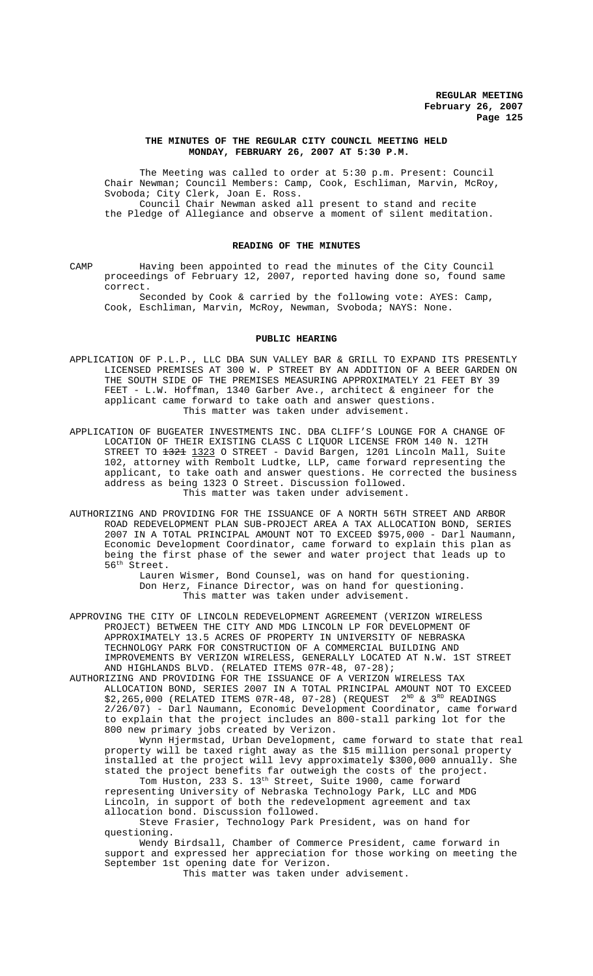## **THE MINUTES OF THE REGULAR CITY COUNCIL MEETING HELD MONDAY, FEBRUARY 26, 2007 AT 5:30 P.M.**

The Meeting was called to order at 5:30 p.m. Present: Council Chair Newman; Council Members: Camp, Cook, Eschliman, Marvin, McRoy, Svoboda; City Clerk, Joan E. Ross. Council Chair Newman asked all present to stand and recite the Pledge of Allegiance and observe a moment of silent meditation.

## **READING OF THE MINUTES**

CAMP Having been appointed to read the minutes of the City Council proceedings of February 12, 2007, reported having done so, found same correct.

Seconded by Cook & carried by the following vote: AYES: Camp, Cook, Eschliman, Marvin, McRoy, Newman, Svoboda; NAYS: None.

#### **PUBLIC HEARING**

- APPLICATION OF P.L.P., LLC DBA SUN VALLEY BAR & GRILL TO EXPAND ITS PRESENTLY LICENSED PREMISES AT 300 W. P STREET BY AN ADDITION OF A BEER GARDEN ON THE SOUTH SIDE OF THE PREMISES MEASURING APPROXIMATELY 21 FEET BY 39 FEET - L.W. Hoffman, 1340 Garber Ave., architect & engineer for the applicant came forward to take oath and answer questions. This matter was taken under advisement.
- APPLICATION OF BUGEATER INVESTMENTS INC. DBA CLIFF'S LOUNGE FOR A CHANGE OF LOCATION OF THEIR EXISTING CLASS C LIQUOR LICENSE FROM 140 N. 12TH STREET TO <del>1321</del> 1323 O STREET - David Bargen, 1201 Lincoln Mall, Suite 102, attorney with Rembolt Ludtke, LLP, came forward representing the applicant, to take oath and answer questions. He corrected the business address as being 1323 O Street. Discussion followed. This matter was taken under advisement.
- AUTHORIZING AND PROVIDING FOR THE ISSUANCE OF A NORTH 56TH STREET AND ARBOR ROAD REDEVELOPMENT PLAN SUB-PROJECT AREA A TAX ALLOCATION BOND, SERIES 2007 IN A TOTAL PRINCIPAL AMOUNT NOT TO EXCEED \$975,000 - Darl Naumann, Economic Development Coordinator, came forward to explain this plan as being the first phase of the sewer and water project that leads up to 56th Street.

Lauren Wismer, Bond Counsel, was on hand for questioning. Don Herz, Finance Director, was on hand for questioning. This matter was taken under advisement.

APPROVING THE CITY OF LINCOLN REDEVELOPMENT AGREEMENT (VERIZON WIRELESS PROJECT) BETWEEN THE CITY AND MDG LINCOLN LP FOR DEVELOPMENT OF APPROXIMATELY 13.5 ACRES OF PROPERTY IN UNIVERSITY OF NEBRASKA TECHNOLOGY PARK FOR CONSTRUCTION OF A COMMERCIAL BUILDING AND IMPROVEMENTS BY VERIZON WIRELESS, GENERALLY LOCATED AT N.W. 1ST STREET AND HIGHLANDS BLVD. (RELATED ITEMS 07R-48, 07-28);

AUTHORIZING AND PROVIDING FOR THE ISSUANCE OF A VERIZON WIRELESS TAX ALLOCATION BOND, SERIES 2007 IN A TOTAL PRINCIPAL AMOUNT NOT TO EXCEED  $$2,265,000$  (RELATED ITEMS 07R-48, 07-28) (REQUEST  $2^{ND}$  &  $3^{RD}$  READINGS 2/26/07) - Darl Naumann, Economic Development Coordinator, came forward to explain that the project includes an 800-stall parking lot for the 800 new primary jobs created by Verizon.

Wynn Hjermstad, Urban Development, came forward to state that real property will be taxed right away as the \$15 million personal property installed at the project will levy approximately \$300,000 annually. She stated the project benefits far outweigh the costs of the project.

Tom Huston, 233 S. 13<sup>th</sup> Street, Suite 1900, came forward representing University of Nebraska Technology Park, LLC and MDG Lincoln, in support of both the redevelopment agreement and tax allocation bond. Discussion followed.

Steve Frasier, Technology Park President, was on hand for questioning.

Wendy Birdsall, Chamber of Commerce President, came forward in support and expressed her appreciation for those working on meeting the September 1st opening date for Verizon.

This matter was taken under advisement.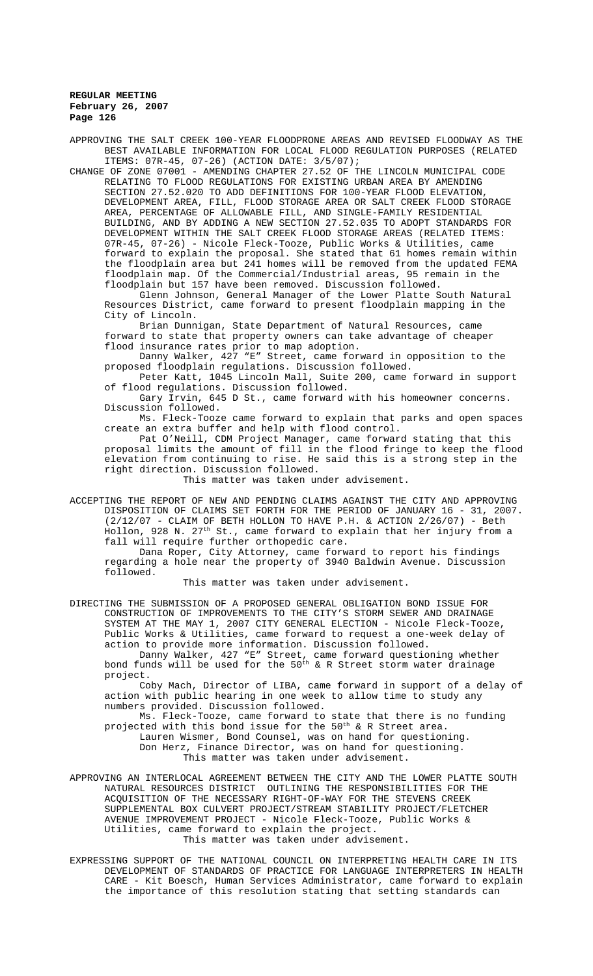APPROVING THE SALT CREEK 100-YEAR FLOODPRONE AREAS AND REVISED FLOODWAY AS THE BEST AVAILABLE INFORMATION FOR LOCAL FLOOD REGULATION PURPOSES (RELATED ITEMS: 07R-45, 07-26) (ACTION DATE: 3/5/07);

CHANGE OF ZONE 07001 - AMENDING CHAPTER 27.52 OF THE LINCOLN MUNICIPAL CODE RELATING TO FLOOD REGULATIONS FOR EXISTING URBAN AREA BY AMENDING SECTION 27.52.020 TO ADD DEFINITIONS FOR 100-YEAR FLOOD ELEVATION, DEVELOPMENT AREA, FILL, FLOOD STORAGE AREA OR SALT CREEK FLOOD STORAGE AREA, PERCENTAGE OF ALLOWABLE FILL, AND SINGLE-FAMILY RESIDENTIAL BUILDING, AND BY ADDING A NEW SECTION 27.52.035 TO ADOPT STANDARDS FOR DEVELOPMENT WITHIN THE SALT CREEK FLOOD STORAGE AREAS (RELATED ITEMS: 07R-45, 07-26) - Nicole Fleck-Tooze, Public Works & Utilities, came forward to explain the proposal. She stated that 61 homes remain within the floodplain area but 241 homes will be removed from the updated FEMA floodplain map. Of the Commercial/Industrial areas, 95 remain in the floodplain but 157 have been removed. Discussion followed.

Glenn Johnson, General Manager of the Lower Platte South Natural Resources District, came forward to present floodplain mapping in the City of Lincoln.

Brian Dunnigan, State Department of Natural Resources, came forward to state that property owners can take advantage of cheaper flood insurance rates prior to map adoption.

Danny Walker, 427 "E" Street, came forward in opposition to the proposed floodplain regulations. Discussion followed.

Peter Katt, 1045 Lincoln Mall, Suite 200, came forward in support of flood regulations. Discussion followed.

Gary Irvin, 645 D St., came forward with his homeowner concerns. Discussion followed.

Ms. Fleck-Tooze came forward to explain that parks and open spaces create an extra buffer and help with flood control.

Pat O'Neill, CDM Project Manager, came forward stating that this proposal limits the amount of fill in the flood fringe to keep the flood elevation from continuing to rise. He said this is a strong step in the right direction. Discussion followed.

This matter was taken under advisement.

ACCEPTING THE REPORT OF NEW AND PENDING CLAIMS AGAINST THE CITY AND APPROVING DISPOSITION OF CLAIMS SET FORTH FOR THE PERIOD OF JANUARY 16 - 31, 2007.  $(2/12/07$  - CLAIM OF BETH HOLLON TO HAVE P.H. & ACTION  $2/26/07$ ) - Beth Hollon, 928 N. 27th St., came forward to explain that her injury from a fall will require further orthopedic care.

Dana Roper, City Attorney, came forward to report his findings regarding a hole near the property of 3940 Baldwin Avenue. Discussion followed.

This matter was taken under advisement.

DIRECTING THE SUBMISSION OF A PROPOSED GENERAL OBLIGATION BOND ISSUE FOR CONSTRUCTION OF IMPROVEMENTS TO THE CITY'S STORM SEWER AND DRAINAGE SYSTEM AT THE MAY 1, 2007 CITY GENERAL ELECTION - Nicole Fleck-Tooze, Public Works & Utilities, came forward to request a one-week delay of action to provide more information. Discussion followed.

Danny Walker, 427 "E" Street, came forward questioning whether bond funds will be used for the  $50^{\rm th}$  & R Street storm water drainage project.

Coby Mach, Director of LIBA, came forward in support of a delay of action with public hearing in one week to allow time to study any numbers provided. Discussion followed.

Ms. Fleck-Tooze, came forward to state that there is no funding projected with this bond issue for the 50<sup>th</sup> & R Street area. Lauren Wismer, Bond Counsel, was on hand for questioning. Don Herz, Finance Director, was on hand for questioning. This matter was taken under advisement.

APPROVING AN INTERLOCAL AGREEMENT BETWEEN THE CITY AND THE LOWER PLATTE SOUTH NATURAL RESOURCES DISTRICT OUTLINING THE RESPONSIBILITIES FOR THE ACQUISITION OF THE NECESSARY RIGHT-OF-WAY FOR THE STEVENS CREEK SUPPLEMENTAL BOX CULVERT PROJECT/STREAM STABILITY PROJECT/FLETCHER AVENUE IMPROVEMENT PROJECT - Nicole Fleck-Tooze, Public Works & Utilities, came forward to explain the project. This matter was taken under advisement.

EXPRESSING SUPPORT OF THE NATIONAL COUNCIL ON INTERPRETING HEALTH CARE IN ITS DEVELOPMENT OF STANDARDS OF PRACTICE FOR LANGUAGE INTERPRETERS IN HEALTH CARE - Kit Boesch, Human Services Administrator, came forward to explain the importance of this resolution stating that setting standards can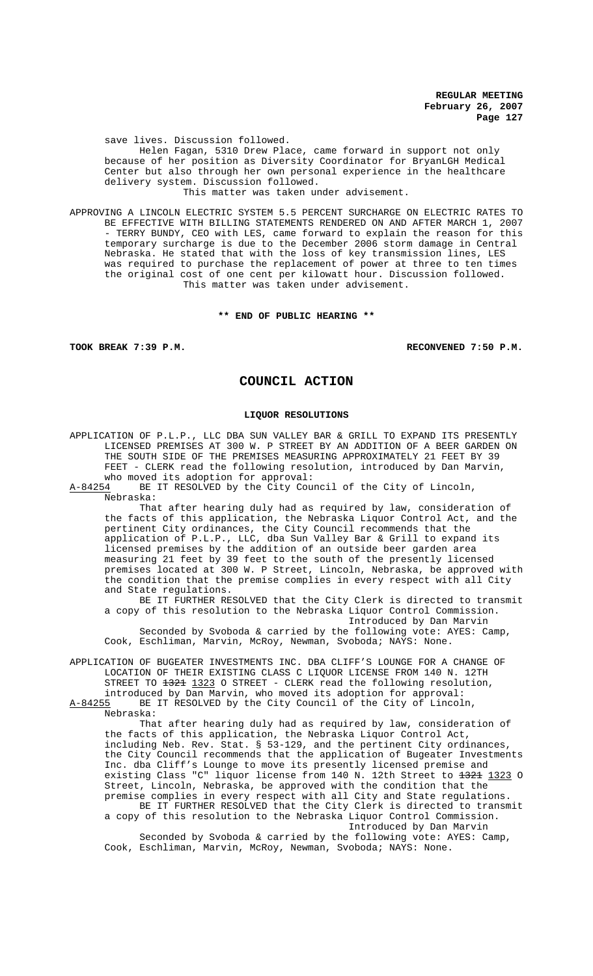save lives. Discussion followed. Helen Fagan, 5310 Drew Place, came forward in support not only because of her position as Diversity Coordinator for BryanLGH Medical Center but also through her own personal experience in the healthcare delivery system. Discussion followed.

This matter was taken under advisement.

APPROVING A LINCOLN ELECTRIC SYSTEM 5.5 PERCENT SURCHARGE ON ELECTRIC RATES TO BE EFFECTIVE WITH BILLING STATEMENTS RENDERED ON AND AFTER MARCH 1, 2007 - TERRY BUNDY, CEO with LES, came forward to explain the reason for this temporary surcharge is due to the December 2006 storm damage in Central Nebraska. He stated that with the loss of key transmission lines, LES was required to purchase the replacement of power at three to ten times the original cost of one cent per kilowatt hour. Discussion followed. This matter was taken under advisement.

## **\*\* END OF PUBLIC HEARING \*\***

**TOOK BREAK 7:39 P.M. RECONVENED 7:50 P.M.**

# **COUNCIL ACTION**

## **LIQUOR RESOLUTIONS**

APPLICATION OF P.L.P., LLC DBA SUN VALLEY BAR & GRILL TO EXPAND ITS PRESENTLY LICENSED PREMISES AT 300 W. P STREET BY AN ADDITION OF A BEER GARDEN ON THE SOUTH SIDE OF THE PREMISES MEASURING APPROXIMATELY 21 FEET BY 39 FEET - CLERK read the following resolution, introduced by Dan Marvin, who moved its adoption for approval:

A-84254 BE IT RESOLVED by the City Council of the City of Lincoln, Nebraska:

That after hearing duly had as required by law, consideration of the facts of this application, the Nebraska Liquor Control Act, and the pertinent City ordinances, the City Council recommends that the application of P.L.P., LLC, dba Sun Valley Bar & Grill to expand its licensed premises by the addition of an outside beer garden area measuring 21 feet by 39 feet to the south of the presently licensed premises located at 300 W. P Street, Lincoln, Nebraska, be approved with the condition that the premise complies in every respect with all City and State regulations.

BE IT FURTHER RESOLVED that the City Clerk is directed to transmit a copy of this resolution to the Nebraska Liquor Control Commission. Introduced by Dan Marvin

Seconded by Svoboda & carried by the following vote: AYES: Camp, Cook, Eschliman, Marvin, McRoy, Newman, Svoboda; NAYS: None.

APPLICATION OF BUGEATER INVESTMENTS INC. DBA CLIFF'S LOUNGE FOR A CHANGE OF LOCATION OF THEIR EXISTING CLASS C LIQUOR LICENSE FROM 140 N. 12TH STREET TO 1321 1323 O STREET - CLERK read the following resolution, introduced by Dan Marvin, who moved its adoption for approval:<br>A-84255 BE IT RESOLVED by the City Council of the City of Lincol

BE IT RESOLVED by the City Council of the City of Lincoln, Nebraska:

That after hearing duly had as required by law, consideration of the facts of this application, the Nebraska Liquor Control Act, including Neb. Rev. Stat. § 53-129, and the pertinent City ordinances, the City Council recommends that the application of Bugeater Investments Inc. dba Cliff's Lounge to move its presently licensed premise and existing Class "C" liquor license from 140 N. 12th Street to 1321 1323 O Street, Lincoln, Nebraska, be approved with the condition that the premise complies in every respect with all City and State regulations. BE IT FURTHER RESOLVED that the City Clerk is directed to transmit

a copy of this resolution to the Nebraska Liquor Control Commission. Introduced by Dan Marvin Seconded by Svoboda & carried by the following vote: AYES: Camp, Cook, Eschliman, Marvin, McRoy, Newman, Svoboda; NAYS: None.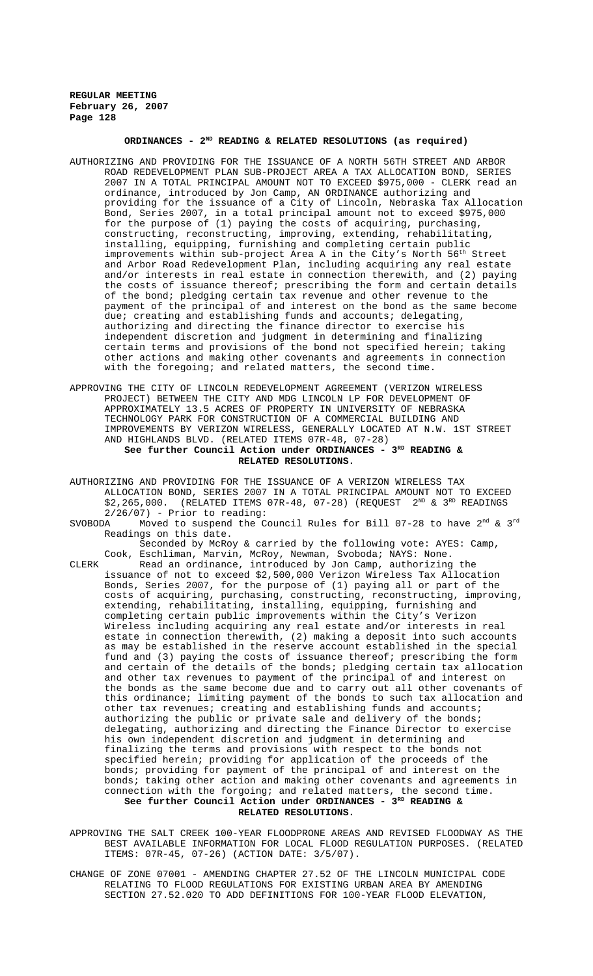# **ORDINANCES - 2ND READING & RELATED RESOLUTIONS (as required)**

- AUTHORIZING AND PROVIDING FOR THE ISSUANCE OF A NORTH 56TH STREET AND ARBOR ROAD REDEVELOPMENT PLAN SUB-PROJECT AREA A TAX ALLOCATION BOND, SERIES 2007 IN A TOTAL PRINCIPAL AMOUNT NOT TO EXCEED \$975,000 - CLERK read an ordinance, introduced by Jon Camp, AN ORDINANCE authorizing and providing for the issuance of a City of Lincoln, Nebraska Tax Allocation Bond, Series 2007, in a total principal amount not to exceed \$975,000 for the purpose of (1) paying the costs of acquiring, purchasing, constructing, reconstructing, improving, extending, rehabilitating, installing, equipping, furnishing and completing certain public improvements within sub-project Area A in the City's North 56<sup>th</sup> Street and Arbor Road Redevelopment Plan, including acquiring any real estate and/or interests in real estate in connection therewith, and (2) paying the costs of issuance thereof; prescribing the form and certain details of the bond; pledging certain tax revenue and other revenue to the payment of the principal of and interest on the bond as the same become due; creating and establishing funds and accounts; delegating, authorizing and directing the finance director to exercise his independent discretion and judgment in determining and finalizing certain terms and provisions of the bond not specified herein; taking other actions and making other covenants and agreements in connection with the foregoing; and related matters, the second time.
- APPROVING THE CITY OF LINCOLN REDEVELOPMENT AGREEMENT (VERIZON WIRELESS PROJECT) BETWEEN THE CITY AND MDG LINCOLN LP FOR DEVELOPMENT OF APPROXIMATELY 13.5 ACRES OF PROPERTY IN UNIVERSITY OF NEBRASKA TECHNOLOGY PARK FOR CONSTRUCTION OF A COMMERCIAL BUILDING AND IMPROVEMENTS BY VERIZON WIRELESS, GENERALLY LOCATED AT N.W. 1ST STREET AND HIGHLANDS BLVD. (RELATED ITEMS 07R-48, 07-28) See further Council Action under ORDINANCES - 3<sup>RD</sup> READING & **RELATED RESOLUTIONS.**
- AUTHORIZING AND PROVIDING FOR THE ISSUANCE OF A VERIZON WIRELESS TAX ALLOCATION BOND, SERIES 2007 IN A TOTAL PRINCIPAL AMOUNT NOT TO EXCEED \$2,265,000. (RELATED ITEMS 07R-48, 07-28) (REQUEST 2<sup>ND</sup> & 3<sup>RD</sup> READINGS
- 2/26/07) Prior to reading:<br>SVOBODA Moved to suspend the Co Moved to suspend the Council Rules for Bill 07-28 to have  $2^{nd}$  & 3<sup>rd</sup> Readings on this date.
	- Seconded by McRoy & carried by the following vote: AYES: Camp, Cook, Eschliman, Marvin, McRoy, Newman, Svoboda; NAYS: None.
- CLERK Read an ordinance, introduced by Jon Camp, authorizing the issuance of not to exceed \$2,500,000 Verizon Wireless Tax Allocation Bonds, Series 2007, for the purpose of (1) paying all or part of the costs of acquiring, purchasing, constructing, reconstructing, improving, extending, rehabilitating, installing, equipping, furnishing and completing certain public improvements within the City's Verizon Wireless including acquiring any real estate and/or interests in real estate in connection therewith, (2) making a deposit into such accounts as may be established in the reserve account established in the special fund and (3) paying the costs of issuance thereof; prescribing the form and certain of the details of the bonds; pledging certain tax allocation and other tax revenues to payment of the principal of and interest on the bonds as the same become due and to carry out all other covenants of this ordinance; limiting payment of the bonds to such tax allocation and other tax revenues; creating and establishing funds and accounts; authorizing the public or private sale and delivery of the bonds; delegating, authorizing and directing the Finance Director to exercise his own independent discretion and judgment in determining and finalizing the terms and provisions with respect to the bonds not specified herein; providing for application of the proceeds of the bonds; providing for payment of the principal of and interest on the<br>bonds; taking other action and making other covenants and agreements taking other action and making other covenants and agreements in connection with the forgoing; and related matters, the second time. See further Council Action under ORDINANCES - 3<sup>RD</sup> READING & **RELATED RESOLUTIONS.**
- APPROVING THE SALT CREEK 100-YEAR FLOODPRONE AREAS AND REVISED FLOODWAY AS THE BEST AVAILABLE INFORMATION FOR LOCAL FLOOD REGULATION PURPOSES. (RELATED ITEMS: 07R-45, 07-26) (ACTION DATE: 3/5/07).
- CHANGE OF ZONE 07001 AMENDING CHAPTER 27.52 OF THE LINCOLN MUNICIPAL CODE RELATING TO FLOOD REGULATIONS FOR EXISTING URBAN AREA BY AMENDING SECTION 27.52.020 TO ADD DEFINITIONS FOR 100-YEAR FLOOD ELEVATION,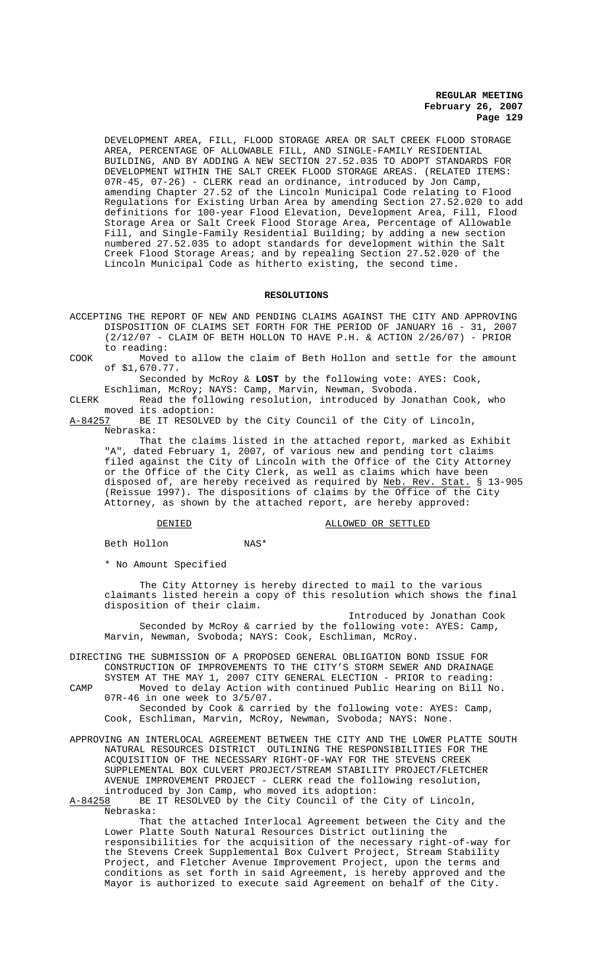DEVELOPMENT AREA, FILL, FLOOD STORAGE AREA OR SALT CREEK FLOOD STORAGE AREA, PERCENTAGE OF ALLOWABLE FILL, AND SINGLE-FAMILY RESIDENTIAL BUILDING, AND BY ADDING A NEW SECTION 27.52.035 TO ADOPT STANDARDS FOR DEVELOPMENT WITHIN THE SALT CREEK FLOOD STORAGE AREAS. (RELATED ITEMS: 07R-45, 07-26) - CLERK read an ordinance, introduced by Jon Camp, amending Chapter 27.52 of the Lincoln Municipal Code relating to Flood Regulations for Existing Urban Area by amending Section 27.52.020 to add definitions for 100-year Flood Elevation, Development Area, Fill, Flood Storage Area or Salt Creek Flood Storage Area, Percentage of Allowable Fill, and Single-Family Residential Building; by adding a new section numbered 27.52.035 to adopt standards for development within the Salt Creek Flood Storage Areas; and by repealing Section 27.52.020 of the Lincoln Municipal Code as hitherto existing, the second time.

## **RESOLUTIONS**

ACCEPTING THE REPORT OF NEW AND PENDING CLAIMS AGAINST THE CITY AND APPROVING DISPOSITION OF CLAIMS SET FORTH FOR THE PERIOD OF JANUARY 16 - 31, 2007 (2/12/07 - CLAIM OF BETH HOLLON TO HAVE P.H. & ACTION 2/26/07) - PRIOR to reading:

COOK Moved to allow the claim of Beth Hollon and settle for the amount of \$1,670.77.

Seconded by McRoy & **LOST** by the following vote: AYES: Cook,

Eschliman, McRoy; NAYS: Camp, Marvin, Newman, Svoboda.

CLERK Read the following resolution, introduced by Jonathan Cook, who moved its adoption:<br>A-84257 BE IT RESOLVE

BE IT RESOLVED by the City Council of the City of Lincoln, Nebraska:

That the claims listed in the attached report, marked as Exhibit "A", dated February 1, 2007, of various new and pending tort claims filed against the City of Lincoln with the Office of the City Attorney or the Office of the City Clerk, as well as claims which have been disposed of, are hereby received as required by Neb. Rev. Stat. § 13-905 (Reissue 1997). The dispositions of claims by the Office of the City Attorney, as shown by the attached report, are hereby approved:

DENIED **ALLOWED OR SETTLED** 

Beth Hollon NAS\*

\* No Amount Specified

The City Attorney is hereby directed to mail to the various claimants listed herein a copy of this resolution which shows the final disposition of their claim.

Introduced by Jonathan Cook Seconded by McRoy & carried by the following vote: AYES: Camp, Marvin, Newman, Svoboda; NAYS: Cook, Eschliman, McRoy.

DIRECTING THE SUBMISSION OF A PROPOSED GENERAL OBLIGATION BOND ISSUE FOR CONSTRUCTION OF IMPROVEMENTS TO THE CITY'S STORM SEWER AND DRAINAGE SYSTEM AT THE MAY 1, 2007 CITY GENERAL ELECTION - PRIOR to reading:

CAMP Moved to delay Action with continued Public Hearing on Bill No. 07R-46 in one week to 3/5/07.

Seconded by Cook & carried by the following vote: AYES: Camp, Cook, Eschliman, Marvin, McRoy, Newman, Svoboda; NAYS: None.

APPROVING AN INTERLOCAL AGREEMENT BETWEEN THE CITY AND THE LOWER PLATTE SOUTH NATURAL RESOURCES DISTRICT OUTLINING THE RESPONSIBILITIES FOR THE ACQUISITION OF THE NECESSARY RIGHT-OF-WAY FOR THE STEVENS CREEK SUPPLEMENTAL BOX CULVERT PROJECT/STREAM STABILITY PROJECT/FLETCHER AVENUE IMPROVEMENT PROJECT - CLERK read the following resolution, introduced by Jon Camp, who moved its adoption:

A-84258 BE IT RESOLVED by the City Council of the City of Lincoln, Nebraska:

That the attached Interlocal Agreement between the City and the Lower Platte South Natural Resources District outlining the responsibilities for the acquisition of the necessary right-of-way for the Stevens Creek Supplemental Box Culvert Project, Stream Stability Project, and Fletcher Avenue Improvement Project, upon the terms and conditions as set forth in said Agreement, is hereby approved and the Mayor is authorized to execute said Agreement on behalf of the City.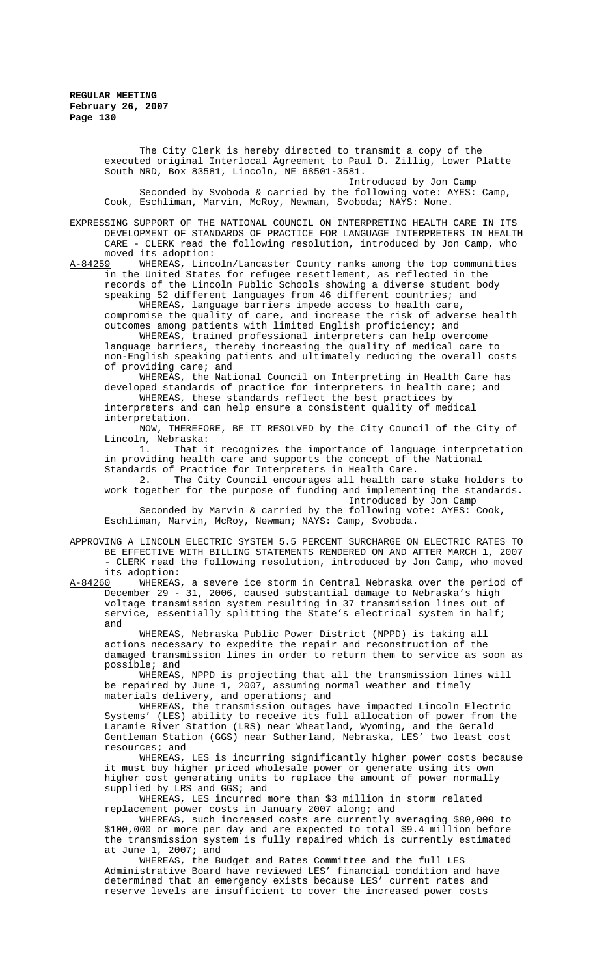The City Clerk is hereby directed to transmit a copy of the executed original Interlocal Agreement to Paul D. Zillig, Lower Platte South NRD, Box 83581, Lincoln, NE 68501-3581. Introduced by Jon Camp Seconded by Svoboda & carried by the following vote: AYES: Camp,

Cook, Eschliman, Marvin, McRoy, Newman, Svoboda; NAYS: None.

EXPRESSING SUPPORT OF THE NATIONAL COUNCIL ON INTERPRETING HEALTH CARE IN ITS DEVELOPMENT OF STANDARDS OF PRACTICE FOR LANGUAGE INTERPRETERS IN HEALTH CARE - CLERK read the following resolution, introduced by Jon Camp, who moved its adoption:<br>A-84259 WHEREAS, Linc

WHEREAS, Lincoln/Lancaster County ranks among the top communities in the United States for refugee resettlement, as reflected in the records of the Lincoln Public Schools showing a diverse student body speaking 52 different languages from 46 different countries; and

WHEREAS, language barriers impede access to health care, compromise the quality of care, and increase the risk of adverse health outcomes among patients with limited English proficiency; and

WHEREAS, trained professional interpreters can help overcome language barriers, thereby increasing the quality of medical care to non-English speaking patients and ultimately reducing the overall costs of providing care; and

WHEREAS, the National Council on Interpreting in Health Care has developed standards of practice for interpreters in health care; and WHEREAS, these standards reflect the best practices by

interpreters and can help ensure a consistent quality of medical interpretation.

NOW, THEREFORE, BE IT RESOLVED by the City Council of the City of Lincoln, Nebraska:

1. That it recognizes the importance of language interpretation in providing health care and supports the concept of the National Standards of Practice for Interpreters in Health Care.

2. The City Council encourages all health care stake holders to work together for the purpose of funding and implementing the standards. Introduced by Jon Camp

Seconded by Marvin & carried by the following vote: AYES: Cook, Eschliman, Marvin, McRoy, Newman; NAYS: Camp, Svoboda.

APPROVING A LINCOLN ELECTRIC SYSTEM 5.5 PERCENT SURCHARGE ON ELECTRIC RATES TO BE EFFECTIVE WITH BILLING STATEMENTS RENDERED ON AND AFTER MARCH 1, 2007 - CLERK read the following resolution, introduced by Jon Camp, who moved its adoption:<br>A-84260 WHEREAS

A-84260 WHEREAS, a severe ice storm in Central Nebraska over the period of December 29 - 31, 2006, caused substantial damage to Nebraska's high voltage transmission system resulting in 37 transmission lines out of service, essentially splitting the State's electrical system in half; and

WHEREAS, Nebraska Public Power District (NPPD) is taking all actions necessary to expedite the repair and reconstruction of the damaged transmission lines in order to return them to service as soon as possible; and

WHEREAS, NPPD is projecting that all the transmission lines will be repaired by June 1, 2007, assuming normal weather and timely materials delivery, and operations; and

WHEREAS, the transmission outages have impacted Lincoln Electric Systems' (LES) ability to receive its full allocation of power from the Laramie River Station (LRS) near Wheatland, Wyoming, and the Gerald Gentleman Station (GGS) near Sutherland, Nebraska, LES' two least cost resources; and

WHEREAS, LES is incurring significantly higher power costs because it must buy higher priced wholesale power or generate using its own higher cost generating units to replace the amount of power normally supplied by LRS and GGS; and

WHEREAS, LES incurred more than \$3 million in storm related replacement power costs in January 2007 along; and

WHEREAS, such increased costs are currently averaging \$80,000 to \$100,000 or more per day and are expected to total \$9.4 million before the transmission system is fully repaired which is currently estimated at June 1, 2007; and

WHEREAS, the Budget and Rates Committee and the full LES Administrative Board have reviewed LES' financial condition and have determined that an emergency exists because LES' current rates and reserve levels are insufficient to cover the increased power costs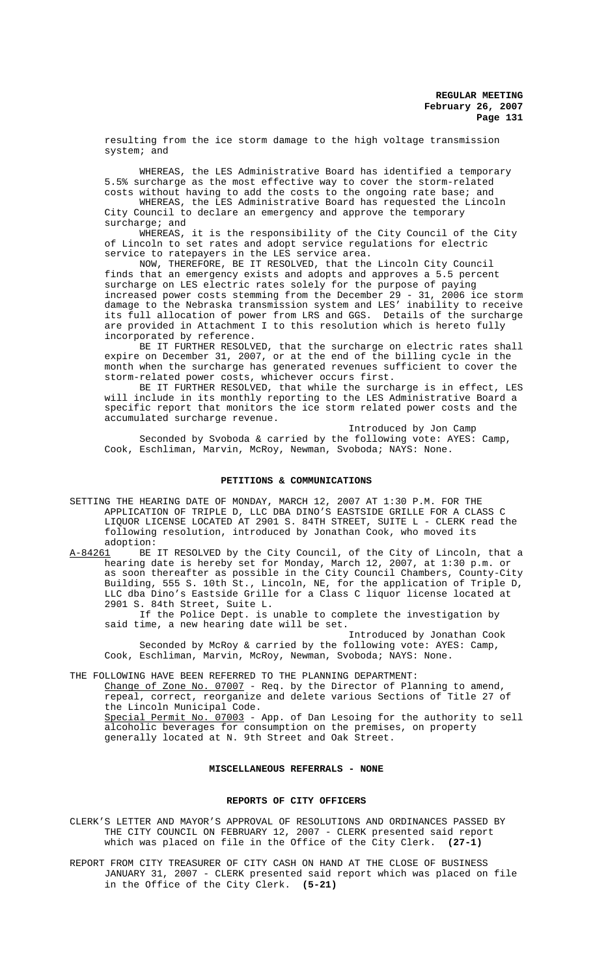resulting from the ice storm damage to the high voltage transmission system; and

WHEREAS, the LES Administrative Board has identified a temporary 5.5% surcharge as the most effective way to cover the storm-related costs without having to add the costs to the ongoing rate base; and

WHEREAS, the LES Administrative Board has requested the Lincoln City Council to declare an emergency and approve the temporary surcharge; and

WHEREAS, it is the responsibility of the City Council of the City of Lincoln to set rates and adopt service regulations for electric service to ratepayers in the LES service area.

NOW, THEREFORE, BE IT RESOLVED, that the Lincoln City Council finds that an emergency exists and adopts and approves a 5.5 percent surcharge on LES electric rates solely for the purpose of paying increased power costs stemming from the December 29 - 31, 2006 ice storm damage to the Nebraska transmission system and LES' inability to receive its full allocation of power from LRS and GGS. Details of the surcharge are provided in Attachment I to this resolution which is hereto fully incorporated by reference.

BE IT FURTHER RESOLVED, that the surcharge on electric rates shall expire on December 31, 2007, or at the end of the billing cycle in the month when the surcharge has generated revenues sufficient to cover the storm-related power costs, whichever occurs first.

BE IT FURTHER RESOLVED, that while the surcharge is in effect, LES will include in its monthly reporting to the LES Administrative Board a specific report that monitors the ice storm related power costs and the accumulated surcharge revenue.

Introduced by Jon Camp Seconded by Svoboda & carried by the following vote: AYES: Camp, Cook, Eschliman, Marvin, McRoy, Newman, Svoboda; NAYS: None.

## **PETITIONS & COMMUNICATIONS**

- SETTING THE HEARING DATE OF MONDAY, MARCH 12, 2007 AT 1:30 P.M. FOR THE APPLICATION OF TRIPLE D, LLC DBA DINO'S EASTSIDE GRILLE FOR A CLASS C LIQUOR LICENSE LOCATED AT 2901 S. 84TH STREET, SUITE L - CLERK read the following resolution, introduced by Jonathan Cook, who moved its adoption:
- A-84261 BE IT RESOLVED by the City Council, of the City of Lincoln, that a hearing date is hereby set for Monday, March 12, 2007, at 1:30 p.m. or as soon thereafter as possible in the City Council Chambers, County-City Building, 555 S. 10th St., Lincoln, NE, for the application of Triple D, LLC dba Dino's Eastside Grille for a Class C liquor license located at 2901 S. 84th Street, Suite L.

If the Police Dept. is unable to complete the investigation by said time, a new hearing date will be set.

Introduced by Jonathan Cook Seconded by McRoy & carried by the following vote: AYES: Camp, Cook, Eschliman, Marvin, McRoy, Newman, Svoboda; NAYS: None.

THE FOLLOWING HAVE BEEN REFERRED TO THE PLANNING DEPARTMENT:

Change of Zone No. 07007 - Req. by the Director of Planning to amend, repeal, correct, reorganize and delete various Sections of Title 27 of the Lincoln Municipal Code. Special Permit No. 07003 - App. of Dan Lesoing for the authority to sell alcoholic beverages for consumption on the premises, on property generally located at N. 9th Street and Oak Street.

# **MISCELLANEOUS REFERRALS - NONE**

#### **REPORTS OF CITY OFFICERS**

CLERK'S LETTER AND MAYOR'S APPROVAL OF RESOLUTIONS AND ORDINANCES PASSED BY THE CITY COUNCIL ON FEBRUARY 12, 2007 - CLERK presented said report which was placed on file in the Office of the City Clerk. **(27-1)**

REPORT FROM CITY TREASURER OF CITY CASH ON HAND AT THE CLOSE OF BUSINESS JANUARY 31, 2007 - CLERK presented said report which was placed on file in the Office of the City Clerk. **(5-21)**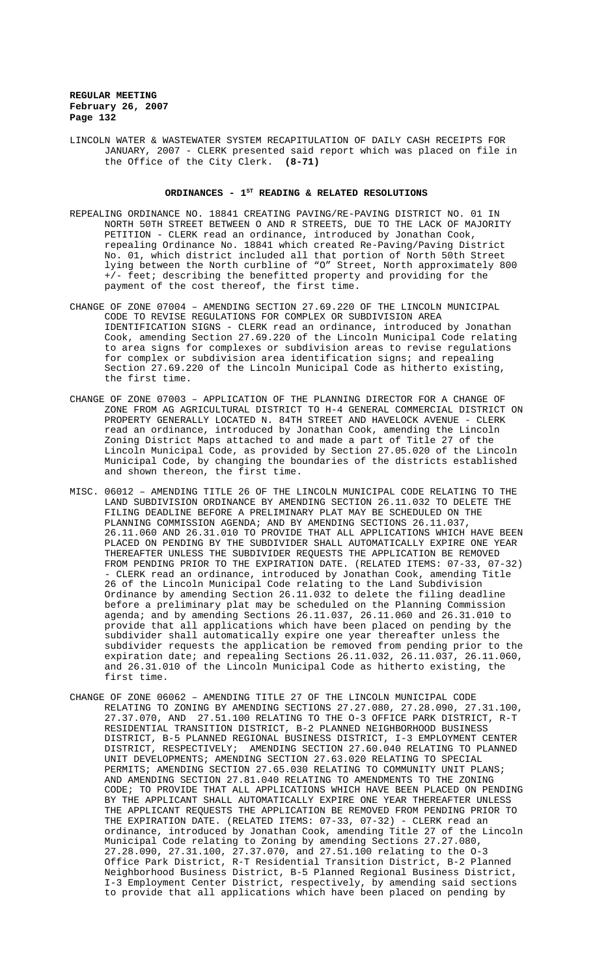LINCOLN WATER & WASTEWATER SYSTEM RECAPITULATION OF DAILY CASH RECEIPTS FOR JANUARY, 2007 - CLERK presented said report which was placed on file in the Office of the City Clerk. **(8-71)**

## ORDINANCES - 1<sup>st</sup> READING & RELATED RESOLUTIONS

- REPEALING ORDINANCE NO. 18841 CREATING PAVING/RE-PAVING DISTRICT NO. 01 IN NORTH 50TH STREET BETWEEN O AND R STREETS, DUE TO THE LACK OF MAJORITY PETITION - CLERK read an ordinance, introduced by Jonathan Cook, repealing Ordinance No. 18841 which created Re-Paving/Paving District No. 01, which district included all that portion of North 50th Street lying between the North curbline of "O" Street, North approximately 800 +/- feet; describing the benefitted property and providing for the payment of the cost thereof, the first time.
- CHANGE OF ZONE 07004 AMENDING SECTION 27.69.220 OF THE LINCOLN MUNICIPAL CODE TO REVISE REGULATIONS FOR COMPLEX OR SUBDIVISION AREA IDENTIFICATION SIGNS - CLERK read an ordinance, introduced by Jonathan Cook, amending Section 27.69.220 of the Lincoln Municipal Code relating to area signs for complexes or subdivision areas to revise regulations for complex or subdivision area identification signs; and repealing Section 27.69.220 of the Lincoln Municipal Code as hitherto existing, the first time.
- CHANGE OF ZONE 07003 APPLICATION OF THE PLANNING DIRECTOR FOR A CHANGE OF ZONE FROM AG AGRICULTURAL DISTRICT TO H-4 GENERAL COMMERCIAL DISTRICT ON PROPERTY GENERALLY LOCATED N. 84TH STREET AND HAVELOCK AVENUE - CLERK read an ordinance, introduced by Jonathan Cook, amending the Lincoln Zoning District Maps attached to and made a part of Title 27 of the Lincoln Municipal Code, as provided by Section 27.05.020 of the Lincoln Municipal Code, by changing the boundaries of the districts established and shown thereon, the first time.
- MISC. 06012 AMENDING TITLE 26 OF THE LINCOLN MUNICIPAL CODE RELATING TO THE LAND SUBDIVISION ORDINANCE BY AMENDING SECTION 26.11.032 TO DELETE THE FILING DEADLINE BEFORE A PRELIMINARY PLAT MAY BE SCHEDULED ON THE PLANNING COMMISSION AGENDA; AND BY AMENDING SECTIONS 26.11.037, 26.11.060 AND 26.31.010 TO PROVIDE THAT ALL APPLICATIONS WHICH HAVE BEEN PLACED ON PENDING BY THE SUBDIVIDER SHALL AUTOMATICALLY EXPIRE ONE YEAR THEREAFTER UNLESS THE SUBDIVIDER REQUESTS THE APPLICATION BE REMOVED FROM PENDING PRIOR TO THE EXPIRATION DATE. (RELATED ITEMS: 07-33, 07-32) - CLERK read an ordinance, introduced by Jonathan Cook, amending Title 26 of the Lincoln Municipal Code relating to the Land Subdivision Ordinance by amending Section 26.11.032 to delete the filing deadline before a preliminary plat may be scheduled on the Planning Commission agenda; and by amending Sections 26.11.037, 26.11.060 and 26.31.010 to provide that all applications which have been placed on pending by the subdivider shall automatically expire one year thereafter unless the subdivider requests the application be removed from pending prior to the expiration date; and repealing Sections 26.11.032, 26.11.037, 26.11.060, and 26.31.010 of the Lincoln Municipal Code as hitherto existing, the first time.
- CHANGE OF ZONE 06062 AMENDING TITLE 27 OF THE LINCOLN MUNICIPAL CODE RELATING TO ZONING BY AMENDING SECTIONS 27.27.080, 27.28.090, 27.31.100, 27.37.070, AND 27.51.100 RELATING TO THE O-3 OFFICE PARK DISTRICT, R-T RESIDENTIAL TRANSITION DISTRICT, B-2 PLANNED NEIGHBORHOOD BUSINESS DISTRICT, B-5 PLANNED REGIONAL BUSINESS DISTRICT, I-3 EMPLOYMENT CENTER DISTRICT, RESPECTIVELY; AMENDING SECTION 27.60.040 RELATING TO PLANNED UNIT DEVELOPMENTS; AMENDING SECTION 27.63.020 RELATING TO SPECIAL PERMITS; AMENDING SECTION 27.65.030 RELATING TO COMMUNITY UNIT PLANS; AND AMENDING SECTION 27.81.040 RELATING TO AMENDMENTS TO THE ZONING CODE; TO PROVIDE THAT ALL APPLICATIONS WHICH HAVE BEEN PLACED ON PENDING BY THE APPLICANT SHALL AUTOMATICALLY EXPIRE ONE YEAR THEREAFTER UNLESS THE APPLICANT REQUESTS THE APPLICATION BE REMOVED FROM PENDING PRIOR TO THE EXPIRATION DATE. (RELATED ITEMS: 07-33, 07-32) - CLERK read an ordinance, introduced by Jonathan Cook, amending Title 27 of the Lincoln Municipal Code relating to Zoning by amending Sections 27.27.080, 27.28.090, 27.31.100, 27.37.070, and 27.51.100 relating to the O-3 Office Park District, R-T Residential Transition District, B-2 Planned Neighborhood Business District, B-5 Planned Regional Business District, I-3 Employment Center District, respectively, by amending said sections to provide that all applications which have been placed on pending by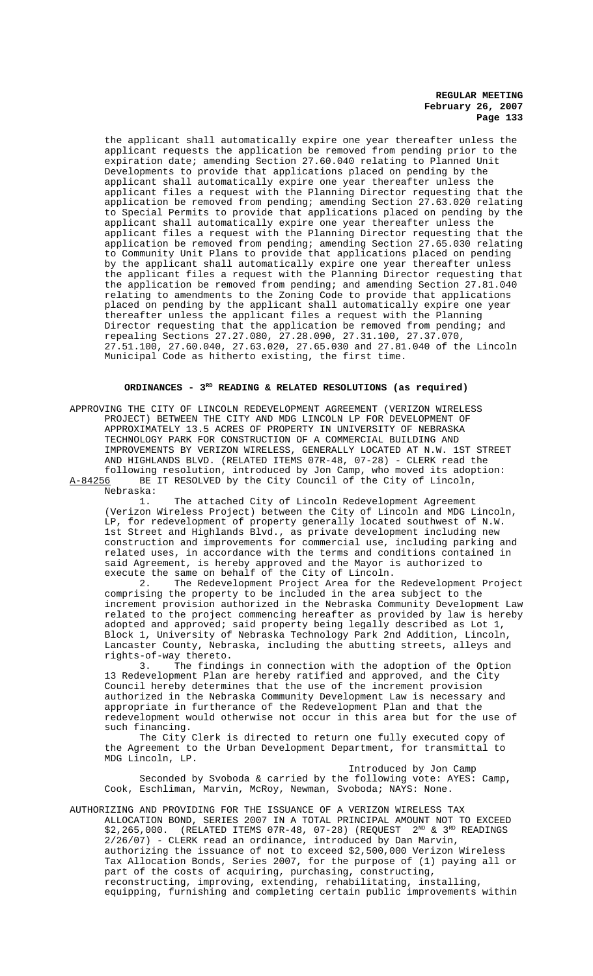the applicant shall automatically expire one year thereafter unless the applicant requests the application be removed from pending prior to the expiration date; amending Section 27.60.040 relating to Planned Unit Developments to provide that applications placed on pending by the applicant shall automatically expire one year thereafter unless the applicant files a request with the Planning Director requesting that the application be removed from pending; amending Section 27.63.020 relating to Special Permits to provide that applications placed on pending by the applicant shall automatically expire one year thereafter unless the applicant files a request with the Planning Director requesting that the application be removed from pending; amending Section 27.65.030 relating to Community Unit Plans to provide that applications placed on pending by the applicant shall automatically expire one year thereafter unless the applicant files a request with the Planning Director requesting that the application be removed from pending; and amending Section 27.81.040 relating to amendments to the Zoning Code to provide that applications placed on pending by the applicant shall automatically expire one year thereafter unless the applicant files a request with the Planning Director requesting that the application be removed from pending; and repealing Sections 27.27.080, 27.28.090, 27.31.100, 27.37.070, 27.51.100, 27.60.040, 27.63.020, 27.65.030 and 27.81.040 of the Lincoln Municipal Code as hitherto existing, the first time.

## **ORDINANCES - 3RD READING & RELATED RESOLUTIONS (as required)**

APPROVING THE CITY OF LINCOLN REDEVELOPMENT AGREEMENT (VERIZON WIRELESS PROJECT) BETWEEN THE CITY AND MDG LINCOLN LP FOR DEVELOPMENT OF APPROXIMATELY 13.5 ACRES OF PROPERTY IN UNIVERSITY OF NEBRASKA TECHNOLOGY PARK FOR CONSTRUCTION OF A COMMERCIAL BUILDING AND IMPROVEMENTS BY VERIZON WIRELESS, GENERALLY LOCATED AT N.W. 1ST STREET AND HIGHLANDS BLVD. (RELATED ITEMS 07R-48, 07-28) - CLERK read the following resolution, introduced by Jon Camp, who moved its adoption:<br>A-84256 BE IT RESOLVED by the City Council of the City of Lincoln, BE IT RESOLVED by the City Council of the City of Lincoln,

Nebraska: The attached City of Lincoln Redevelopment Agreement (Verizon Wireless Project) between the City of Lincoln and MDG Lincoln, LP, for redevelopment of property generally located southwest of N.W. 1st Street and Highlands Blvd., as private development including new construction and improvements for commercial use, including parking and related uses, in accordance with the terms and conditions contained in said Agreement, is hereby approved and the Mayor is authorized to execute the same on behalf of the City of Lincoln.

2. The Redevelopment Project Area for the Redevelopment Project comprising the property to be included in the area subject to the increment provision authorized in the Nebraska Community Development Law related to the project commencing hereafter as provided by law is hereby adopted and approved; said property being legally described as Lot 1, Block 1, University of Nebraska Technology Park 2nd Addition, Lincoln, Lancaster County, Nebraska, including the abutting streets, alleys and rights-of-way thereto.

The findings in connection with the adoption of the Option 13 Redevelopment Plan are hereby ratified and approved, and the City Council hereby determines that the use of the increment provision authorized in the Nebraska Community Development Law is necessary and appropriate in furtherance of the Redevelopment Plan and that the redevelopment would otherwise not occur in this area but for the use of such financing.

The City Clerk is directed to return one fully executed copy of the Agreement to the Urban Development Department, for transmittal to MDG Lincoln, LP.

Introduced by Jon Camp Seconded by Svoboda & carried by the following vote: AYES: Camp, Cook, Eschliman, Marvin, McRoy, Newman, Svoboda; NAYS: None.

AUTHORIZING AND PROVIDING FOR THE ISSUANCE OF A VERIZON WIRELESS TAX ALLOCATION BOND, SERIES 2007 IN A TOTAL PRINCIPAL AMOUNT NOT TO EXCEED  $$2,265,000.$  (RELATED ITEMS 07R-48, 07-28) (REQUEST  $2^{ND}$  &  $3^{RD}$  READINGS 2/26/07) - CLERK read an ordinance, introduced by Dan Marvin, authorizing the issuance of not to exceed \$2,500,000 Verizon Wireless Tax Allocation Bonds, Series 2007, for the purpose of (1) paying all or part of the costs of acquiring, purchasing, constructing, reconstructing, improving, extending, rehabilitating, installing, equipping, furnishing and completing certain public improvements within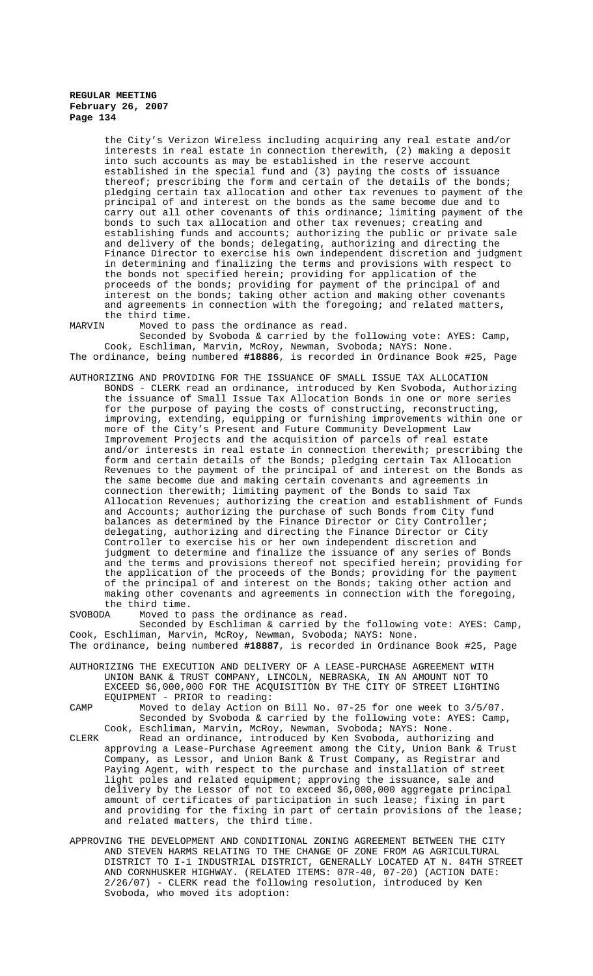the City's Verizon Wireless including acquiring any real estate and/or interests in real estate in connection therewith, (2) making a deposit into such accounts as may be established in the reserve account established in the special fund and (3) paying the costs of issuance thereof; prescribing the form and certain of the details of the bonds; pledging certain tax allocation and other tax revenues to payment of the principal of and interest on the bonds as the same become due and to carry out all other covenants of this ordinance; limiting payment of the bonds to such tax allocation and other tax revenues; creating and establishing funds and accounts; authorizing the public or private sale and delivery of the bonds; delegating, authorizing and directing the Finance Director to exercise his own independent discretion and judgment in determining and finalizing the terms and provisions with respect to the bonds not specified herein; providing for application of the proceeds of the bonds; providing for payment of the principal of and interest on the bonds; taking other action and making other covenants and agreements in connection with the foregoing; and related matters, the third time.<br>MARVIN Moved to the

Moved to pass the ordinance as read.

Seconded by Svoboda & carried by the following vote: AYES: Camp, Cook, Eschliman, Marvin, McRoy, Newman, Svoboda; NAYS: None. The ordinance, being numbered **#18886**, is recorded in Ordinance Book #25, Page

AUTHORIZING AND PROVIDING FOR THE ISSUANCE OF SMALL ISSUE TAX ALLOCATION BONDS - CLERK read an ordinance, introduced by Ken Svoboda, Authorizing the issuance of Small Issue Tax Allocation Bonds in one or more series for the purpose of paying the costs of constructing, reconstructing, improving, extending, equipping or furnishing improvements within one or more of the City's Present and Future Community Development Law Improvement Projects and the acquisition of parcels of real estate and/or interests in real estate in connection therewith; prescribing the form and certain details of the Bonds; pledging certain Tax Allocation Revenues to the payment of the principal of and interest on the Bonds as the same become due and making certain covenants and agreements in connection therewith; limiting payment of the Bonds to said Tax Allocation Revenues; authorizing the creation and establishment of Funds and Accounts; authorizing the purchase of such Bonds from City fund balances as determined by the Finance Director or City Controller; delegating, authorizing and directing the Finance Director or City Controller to exercise his or her own independent discretion and judgment to determine and finalize the issuance of any series of Bonds and the terms and provisions thereof not specified herein; providing for the application of the proceeds of the Bonds; providing for the payment of the principal of and interest on the Bonds; taking other action and making other covenants and agreements in connection with the foregoing, the third time.<br>SVOBODA Moved to Moved to pass the ordinance as read.

Seconded by Eschliman & carried by the following vote: AYES: Camp, Cook, Eschliman, Marvin, McRoy, Newman, Svoboda; NAYS: None.

- The ordinance, being numbered **#18887**, is recorded in Ordinance Book #25, Page
- AUTHORIZING THE EXECUTION AND DELIVERY OF A LEASE-PURCHASE AGREEMENT WITH UNION BANK & TRUST COMPANY, LINCOLN, NEBRASKA, IN AN AMOUNT NOT TO EXCEED \$6,000,000 FOR THE ACQUISITION BY THE CITY OF STREET LIGHTING EQUIPMENT - PRIOR to reading:

CAMP Moved to delay Action on Bill No. 07-25 for one week to 3/5/07. Seconded by Svoboda & carried by the following vote: AYES: Camp, Cook, Eschliman, Marvin, McRoy, Newman, Svoboda; NAYS: None.

- CLERK Read an ordinance, introduced by Ken Svoboda, authorizing and approving a Lease-Purchase Agreement among the City, Union Bank & Trust Company, as Lessor, and Union Bank & Trust Company, as Registrar and Paying Agent, with respect to the purchase and installation of street light poles and related equipment; approving the issuance, sale and delivery by the Lessor of not to exceed \$6,000,000 aggregate principal amount of certificates of participation in such lease; fixing in part and providing for the fixing in part of certain provisions of the lease; and related matters, the third time.
- APPROVING THE DEVELOPMENT AND CONDITIONAL ZONING AGREEMENT BETWEEN THE CITY AND STEVEN HARMS RELATING TO THE CHANGE OF ZONE FROM AG AGRICULTURAL DISTRICT TO I-1 INDUSTRIAL DISTRICT, GENERALLY LOCATED AT N. 84TH STREET AND CORNHUSKER HIGHWAY. (RELATED ITEMS: 07R-40, 07-20) (ACTION DATE: 2/26/07) - CLERK read the following resolution, introduced by Ken Svoboda, who moved its adoption: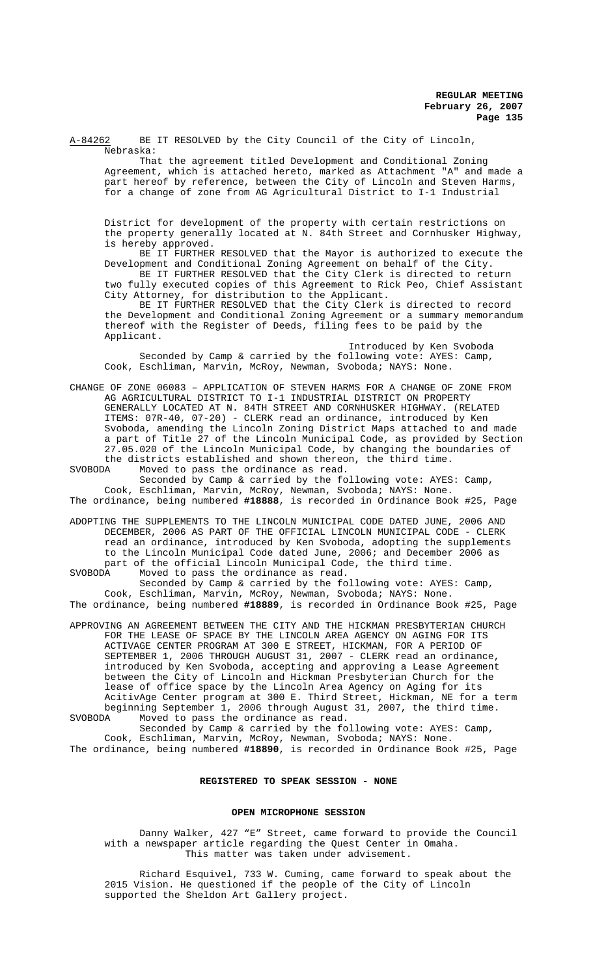A-84262 BE IT RESOLVED by the City Council of the City of Lincoln, Nebraska:

That the agreement titled Development and Conditional Zoning Agreement, which is attached hereto, marked as Attachment "A" and made a part hereof by reference, between the City of Lincoln and Steven Harms, for a change of zone from AG Agricultural District to I-1 Industrial

District for development of the property with certain restrictions on the property generally located at N. 84th Street and Cornhusker Highway, is hereby approved.

BE IT FURTHER RESOLVED that the Mayor is authorized to execute the Development and Conditional Zoning Agreement on behalf of the City.

BE IT FURTHER RESOLVED that the City Clerk is directed to return two fully executed copies of this Agreement to Rick Peo, Chief Assistant City Attorney, for distribution to the Applicant.

BE IT FURTHER RESOLVED that the City Clerk is directed to record the Development and Conditional Zoning Agreement or a summary memorandum thereof with the Register of Deeds, filing fees to be paid by the Applicant.

Introduced by Ken Svoboda Seconded by Camp & carried by the following vote: AYES: Camp, Cook, Eschliman, Marvin, McRoy, Newman, Svoboda; NAYS: None.

CHANGE OF ZONE 06083 – APPLICATION OF STEVEN HARMS FOR A CHANGE OF ZONE FROM AG AGRICULTURAL DISTRICT TO I-1 INDUSTRIAL DISTRICT ON PROPERTY GENERALLY LOCATED AT N. 84TH STREET AND CORNHUSKER HIGHWAY. (RELATED ITEMS: 07R-40, 07-20) - CLERK read an ordinance, introduced by Ken Svoboda, amending the Lincoln Zoning District Maps attached to and made a part of Title 27 of the Lincoln Municipal Code, as provided by Section 27.05.020 of the Lincoln Municipal Code, by changing the boundaries of the districts established and shown thereon, the third time.<br>SVOBODA Moved to pass the ordinance as read.

Moved to pass the ordinance as read. Seconded by Camp & carried by the following vote: AYES: Camp, Cook, Eschliman, Marvin, McRoy, Newman, Svoboda; NAYS: None.

The ordinance, being numbered **#18888**, is recorded in Ordinance Book #25, Page

ADOPTING THE SUPPLEMENTS TO THE LINCOLN MUNICIPAL CODE DATED JUNE, 2006 AND DECEMBER, 2006 AS PART OF THE OFFICIAL LINCOLN MUNICIPAL CODE - CLERK read an ordinance, introduced by Ken Svoboda, adopting the supplements to the Lincoln Municipal Code dated June, 2006; and December 2006 as part of the official Lincoln Municipal Code, the third time.<br>SVOBODA Moved to pass the ordinance as read.

Moved to pass the ordinance as read. Seconded by Camp & carried by the following vote: AYES: Camp, Cook, Eschliman, Marvin, McRoy, Newman, Svoboda; NAYS: None. The ordinance, being numbered **#18889**, is recorded in Ordinance Book #25, Page

APPROVING AN AGREEMENT BETWEEN THE CITY AND THE HICKMAN PRESBYTERIAN CHURCH FOR THE LEASE OF SPACE BY THE LINCOLN AREA AGENCY ON AGING FOR ITS ACTIVAGE CENTER PROGRAM AT 300 E STREET, HICKMAN, FOR A PERIOD OF SEPTEMBER 1, 2006 THROUGH AUGUST 31, 2007 - CLERK read an ordinance, introduced by Ken Svoboda, accepting and approving a Lease Agreement between the City of Lincoln and Hickman Presbyterian Church for the lease of office space by the Lincoln Area Agency on Aging for its AcitivAge Center program at 300 E. Third Street, Hickman, NE for a term beginning September 1, 2006 through August 31, 2007, the third time. SVOBODA Moved to pass the ordinance as read.

Seconded by Camp & carried by the following vote: AYES: Camp, Cook, Eschliman, Marvin, McRoy, Newman, Svoboda; NAYS: None. The ordinance, being numbered **#18890**, is recorded in Ordinance Book #25, Page

## **REGISTERED TO SPEAK SESSION - NONE**

## **OPEN MICROPHONE SESSION**

Danny Walker, 427 "E" Street, came forward to provide the Council with a newspaper article regarding the Quest Center in Omaha. This matter was taken under advisement.

Richard Esquivel, 733 W. Cuming, came forward to speak about the 2015 Vision. He questioned if the people of the City of Lincoln supported the Sheldon Art Gallery project.